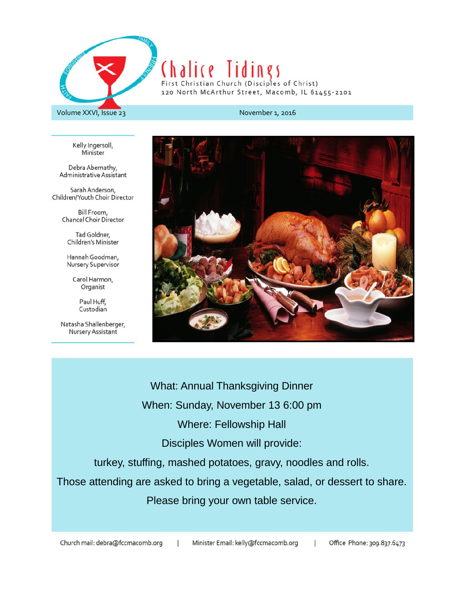

# Chalice lidings First Christian Church (Disciples of Christ)

120 North McArthur Street, Macomb, IL 61455-2101

#### Volume XXVI, Issue 23

November 1, 2016

Kelly Ingersoll, Minister

Debra Abernathy, Administrative Assistant

Sarah Anderson, Children/Youth Choir Director

> Bill Froom, **Chancel Choir Director**

Tad Goldner, Children's Minister

Hannah Goodman, Nursery Supervisor

> Carol Harmon, Organist

> > Paul Huff, Custodian

Natasha Shallenberger, Nursery Assistant



Office Phone: 309.837.6473

 $\mathbf{I}$ 

**What: Annual Thanksgiving Dinner** When: Sunday, November 13 6:00 pm **Where: Fellowship Hall** Disciples Women will provide: turkey, stuffing, mashed potatoes, gravy, noodles and rolls. Those attending are asked to bring a vegetable, salad, or dessert to share. Please bring your own table service.

Church mail: debra@fccmacomb.org Minister Email: kelly@fccmacomb.org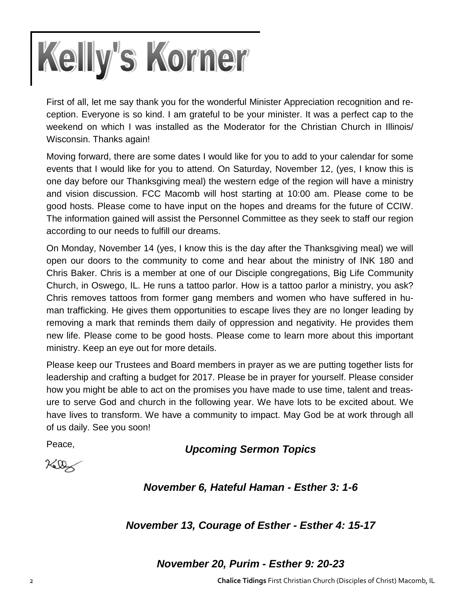

First of all, let me say thank you for the wonderful Minister Appreciation recognition and reception. Everyone is so kind. I am grateful to be your minister. It was a perfect cap to the weekend on which I was installed as the Moderator for the Christian Church in Illinois/ Wisconsin. Thanks again!

Moving forward, there are some dates I would like for you to add to your calendar for some events that I would like for you to attend. On Saturday, November 12, (yes, I know this is one day before our Thanksgiving meal) the western edge of the region will have a ministry and vision discussion. FCC Macomb will host starting at 10:00 am. Please come to be good hosts. Please come to have input on the hopes and dreams for the future of CCIW. The information gained will assist the Personnel Committee as they seek to staff our region according to our needs to fulfill our dreams.

On Monday, November 14 (yes, I know this is the day after the Thanksgiving meal) we will open our doors to the community to come and hear about the ministry of INK 180 and Chris Baker. Chris is a member at one of our Disciple congregations, Big Life Community Church, in Oswego, IL. He runs a tattoo parlor. How is a tattoo parlor a ministry, you ask? Chris removes tattoos from former gang members and women who have suffered in human trafficking. He gives them opportunities to escape lives they are no longer leading by removing a mark that reminds them daily of oppression and negativity. He provides them new life. Please come to be good hosts. Please come to learn more about this important ministry. Keep an eye out for more details.

Please keep our Trustees and Board members in prayer as we are putting together lists for leadership and crafting a budget for 2017. Please be in prayer for yourself. Please consider how you might be able to act on the promises you have made to use time, talent and treasure to serve God and church in the following year. We have lots to be excited about. We have lives to transform. We have a community to impact. May God be at work through all of us daily. See you soon!

Peace, *Upcoming Sermon Topics*

 $760$ 

*November 6, Hateful Haman - Esther 3: 1-6*

*November 13, Courage of Esther - Esther 4: 15-17*

*November 20, Purim - Esther 9: 20-23*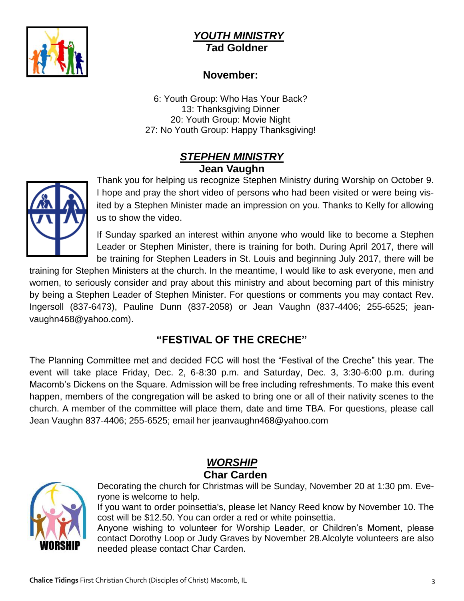

#### *YOUTH MINISTRY T***ad Goldner**

#### **November:**

6: Youth Group: Who Has Your Back? 13: Thanksgiving Dinner 20: Youth Group: Movie Night 27: No Youth Group: Happy Thanksgiving!

#### *STEPHEN MINISTRY* **Jean Vaughn**



Thank you for helping us recognize Stephen Ministry during Worship on October 9. I hope and pray the short video of persons who had been visited or were being visited by a Stephen Minister made an impression on you. Thanks to Kelly for allowing us to show the video.

If Sunday sparked an interest within anyone who would like to become a Stephen Leader or Stephen Minister, there is training for both. During April 2017, there will be training for Stephen Leaders in St. Louis and beginning July 2017, there will be

training for Stephen Ministers at the church. In the meantime, I would like to ask everyone, men and women, to seriously consider and pray about this ministry and about becoming part of this ministry by being a Stephen Leader of Stephen Minister. For questions or comments you may contact Rev. Ingersoll (837-6473), Pauline Dunn (837-2058) or Jean Vaughn (837-4406; 255-6525; jeanvaughn468@yahoo.com).

### **"FESTIVAL OF THE CRECHE"**

The Planning Committee met and decided FCC will host the "Festival of the Creche" this year. The event will take place Friday, Dec. 2, 6-8:30 p.m. and Saturday, Dec. 3, 3:30-6:00 p.m. during Macomb's Dickens on the Square. Admission will be free including refreshments. To make this event happen, members of the congregation will be asked to bring one or all of their nativity scenes to the church. A member of the committee will place them, date and time TBA. For questions, please call Jean Vaughn 837-4406; 255-6525; email her jeanvaughn468@yahoo.com

### *WORSHIP*   **Char Carden**



Decorating the church for Christmas will be Sunday, November 20 at 1:30 pm. Everyone is welcome to help.

If you want to order poinsettia's, please let Nancy Reed know by November 10. The cost will be \$12.50. You can order a red or white poinsettia.

Anyone wishing to volunteer for Worship Leader, or Children's Moment, please contact Dorothy Loop or Judy Graves by November 28.Alcolyte volunteers are also needed please contact Char Carden.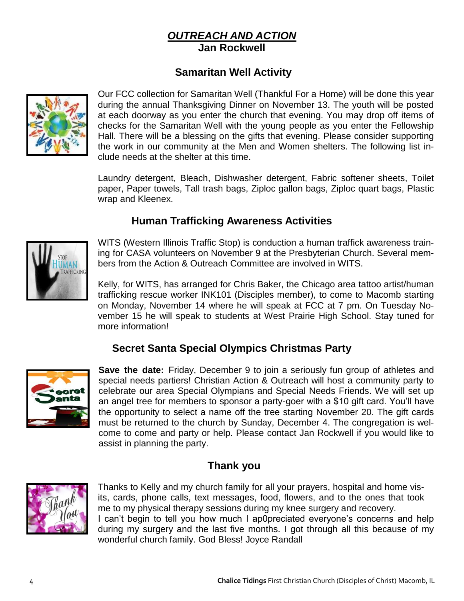#### *OUTREACH AND ACTION* **Jan Rockwell**

### **Samaritan Well Activity**



Our FCC collection for Samaritan Well (Thankful For a Home) will be done this year during the annual Thanksgiving Dinner on November 13. The youth will be posted at each doorway as you enter the church that evening. You may drop off items of checks for the Samaritan Well with the young people as you enter the Fellowship Hall. There will be a blessing on the gifts that evening. Please consider supporting the work in our community at the Men and Women shelters. The following list include needs at the shelter at this time.

Laundry detergent, Bleach, Dishwasher detergent, Fabric softener sheets, Toilet paper, Paper towels, Tall trash bags, Ziploc gallon bags, Ziploc quart bags, Plastic wrap and Kleenex.

#### **Human Trafficking Awareness Activities**



WITS (Western Illinois Traffic Stop) is conduction a human traffick awareness training for CASA volunteers on November 9 at the Presbyterian Church. Several members from the Action & Outreach Committee are involved in WITS.

Kelly, for WITS, has arranged for Chris Baker, the Chicago area tattoo artist/human trafficking rescue worker INK101 (Disciples member), to come to Macomb starting on Monday, November 14 where he will speak at FCC at 7 pm. On Tuesday November 15 he will speak to students at West Prairie High School. Stay tuned for more information!

#### **Secret Santa Special Olympics Christmas Party**



**Save the date:** Friday, December 9 to join a seriously fun group of athletes and special needs partiers! Christian Action & Outreach will host a community party to celebrate our area Special Olympians and Special Needs Friends. We will set up an angel tree for members to sponsor a party-goer with a \$10 gift card. You'll have the opportunity to select a name off the tree starting November 20. The gift cards must be returned to the church by Sunday, December 4. The congregation is welcome to come and party or help. Please contact Jan Rockwell if you would like to assist in planning the party.

#### **Thank you**

wonderful church family. God Bless! Joyce Randall



Thanks to Kelly and my church family for all your prayers, hospital and home visits, cards, phone calls, text messages, food, flowers, and to the ones that took me to my physical therapy sessions during my knee surgery and recovery. I can't begin to tell you how much I ap0preciated everyone's concerns and help during my surgery and the last five months. I got through all this because of my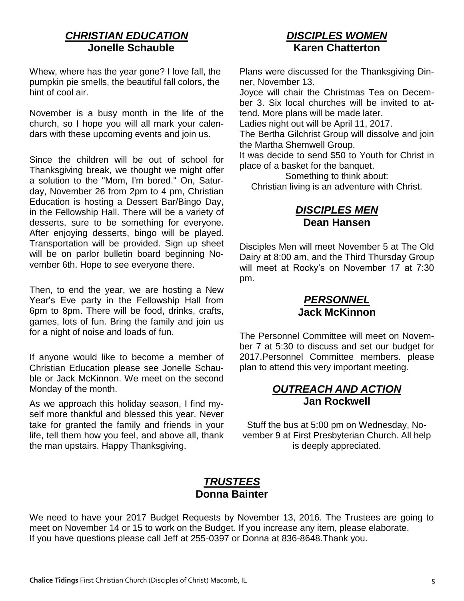#### *CHRISTIAN EDUCATION*  **Jonelle Schauble**

Whew, where has the year gone? I love fall, the pumpkin pie smells, the beautiful fall colors, the hint of cool air.

November is a busy month in the life of the church, so I hope you will all mark your calendars with these upcoming events and join us.

Since the children will be out of school for Thanksgiving break, we thought we might offer a solution to the "Mom, I'm bored." On, Saturday, November 26 from 2pm to 4 pm, Christian Education is hosting a Dessert Bar/Bingo Day, in the Fellowship Hall. There will be a variety of desserts, sure to be something for everyone. After enjoying desserts, bingo will be played. Transportation will be provided. Sign up sheet will be on parlor bulletin board beginning November 6th. Hope to see everyone there.

Then, to end the year, we are hosting a New Year's Eve party in the Fellowship Hall from 6pm to 8pm. There will be food, drinks, crafts, games, lots of fun. Bring the family and join us for a night of noise and loads of fun.

If anyone would like to become a member of Christian Education please see Jonelle Schauble or Jack McKinnon. We meet on the second Monday of the month.

As we approach this holiday season, I find myself more thankful and blessed this year. Never take for granted the family and friends in your life, tell them how you feel, and above all, thank the man upstairs. Happy Thanksgiving.

#### *DISCIPLES WOMEN* **Karen Chatterton**

Plans were discussed for the Thanksgiving Dinner, November 13.

Joyce will chair the Christmas Tea on December 3. Six local churches will be invited to attend. More plans will be made later.

Ladies night out will be April 11, 2017.

The Bertha Gilchrist Group will dissolve and join the Martha Shemwell Group.

It was decide to send \$50 to Youth for Christ in place of a basket for the banquet.

Something to think about: Christian living is an adventure with Christ.

#### *DISCIPLES MEN* **Dean Hansen**

Disciples Men will meet November 5 at The Old Dairy at 8:00 am, and the Third Thursday Group will meet at Rocky's on November 17 at 7:30 pm.

#### *PERSONNEL* **Jack McKinnon**

The Personnel Committee will meet on November 7 at 5:30 to discuss and set our budget for 2017.Personnel Committee members. please plan to attend this very important meeting.

#### *OUTREACH AND ACTION* **Jan Rockwell**

Stuff the bus at 5:00 pm on Wednesday, November 9 at First Presbyterian Church. All help is deeply appreciated.

#### *TRUSTEES* **Donna Bainter**

We need to have your 2017 Budget Requests by November 13, 2016. The Trustees are going to meet on November 14 or 15 to work on the Budget. If you increase any item, please elaborate. If you have questions please call Jeff at 255-0397 or Donna at 836-8648.Thank you.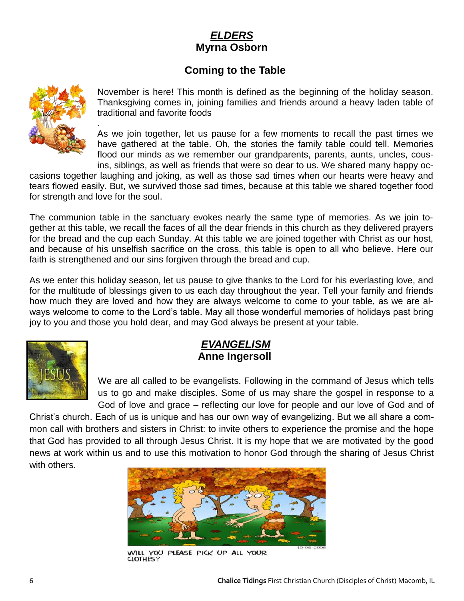#### *ELDERS*  **Myrna Osborn**

#### **Coming to the Table**



.

November is here! This month is defined as the beginning of the holiday season. Thanksgiving comes in, joining families and friends around a heavy laden table of traditional and favorite foods

As we join together, let us pause for a few moments to recall the past times we have gathered at the table. Oh, the stories the family table could tell. Memories flood our minds as we remember our grandparents, parents, aunts, uncles, cousins, siblings, as well as friends that were so dear to us. We shared many happy oc-

casions together laughing and joking, as well as those sad times when our hearts were heavy and tears flowed easily. But, we survived those sad times, because at this table we shared together food for strength and love for the soul.

The communion table in the sanctuary evokes nearly the same type of memories. As we join together at this table, we recall the faces of all the dear friends in this church as they delivered prayers for the bread and the cup each Sunday. At this table we are joined together with Christ as our host, and because of his unselfish sacrifice on the cross, this table is open to all who believe. Here our faith is strengthened and our sins forgiven through the bread and cup.

As we enter this holiday season, let us pause to give thanks to the Lord for his everlasting love, and for the multitude of blessings given to us each day throughout the year. Tell your family and friends how much they are loved and how they are always welcome to come to your table, as we are always welcome to come to the Lord's table. May all those wonderful memories of holidays past bring joy to you and those you hold dear, and may God always be present at your table.



#### *EVANGELISM*  **Anne Ingersoll**

We are all called to be evangelists. Following in the command of Jesus which tells us to go and make disciples. Some of us may share the gospel in response to a God of love and grace – reflecting our love for people and our love of God and of

Christ's church. Each of us is unique and has our own way of evangelizing. But we all share a common call with brothers and sisters in Christ: to invite others to experience the promise and the hope that God has provided to all through Jesus Christ. It is my hope that we are motivated by the good news at work within us and to use this motivation to honor God through the sharing of Jesus Christ with others.



WILL YOU PLEASE PICK UP ALL YOUR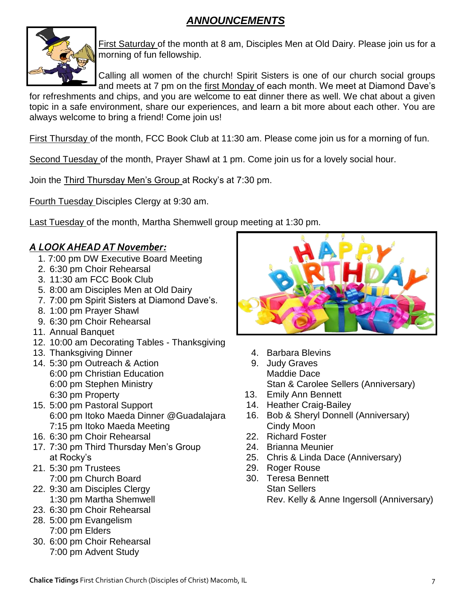#### *ANNOUNCEMENTS*



First Saturday of the month at 8 am, Disciples Men at Old Dairy. Please join us for a morning of fun fellowship.

Calling all women of the church! Spirit Sisters is one of our church social groups and meets at 7 pm on the first Monday of each month. We meet at Diamond Dave's

for refreshments and chips, and you are welcome to eat dinner there as well. We chat about a given topic in a safe environment, share our experiences, and learn a bit more about each other. You are always welcome to bring a friend! Come join us!

First Thursday of the month, FCC Book Club at 11:30 am. Please come join us for a morning of fun.

Second Tuesday of the month, Prayer Shawl at 1 pm. Come join us for a lovely social hour.

Join the Third Thursday Men's Group at Rocky's at 7:30 pm.

Fourth Tuesday Disciples Clergy at 9:30 am.

Last Tuesday of the month, Martha Shemwell group meeting at 1:30 pm.

#### *A LOOK AHEAD AT November:*

- 1. 7:00 pm DW Executive Board Meeting
- 2. 6:30 pm Choir Rehearsal
- 3. 11:30 am FCC Book Club
- 5. 8:00 am Disciples Men at Old Dairy
- 7. 7:00 pm Spirit Sisters at Diamond Dave's.
- 8. 1:00 pm Prayer Shawl
- 9. 6:30 pm Choir Rehearsal
- 11. Annual Banquet
- 12. 10:00 am Decorating Tables Thanksgiving
- 13. Thanksgiving Dinner
- 14. 5:30 pm Outreach & Action 6:00 pm Christian Education
	-
	- 6:00 pm Stephen Ministry 6:30 pm Property
- 15. 5:00 pm Pastoral Support 6:00 pm Itoko Maeda Dinner @Guadalajara 7:15 pm Itoko Maeda Meeting
- 16. 6:30 pm Choir Rehearsal
- 17. 7:30 pm Third Thursday Men's Group at Rocky's
- 21. 5:30 pm Trustees 7:00 pm Church Board
- 22. 9:30 am Disciples Clergy 1:30 pm Martha Shemwell
- 23. 6:30 pm Choir Rehearsal
- 28. 5:00 pm Evangelism 7:00 pm Elders
- 30. 6:00 pm Choir Rehearsal 7:00 pm Advent Study



- 4. Barbara Blevins
- 9. Judy Graves Maddie Dace Stan & Carolee Sellers (Anniversary)
- 13. Emily Ann Bennett
- 14. Heather Craig-Bailey
- 16. Bob & Sheryl Donnell (Anniversary) Cindy Moon
- 22. Richard Foster
- 24. Brianna Meunier
- 25. Chris & Linda Dace (Anniversary)
- 29. Roger Rouse
- 30. Teresa Bennett Stan Sellers Rev. Kelly & Anne Ingersoll (Anniversary)